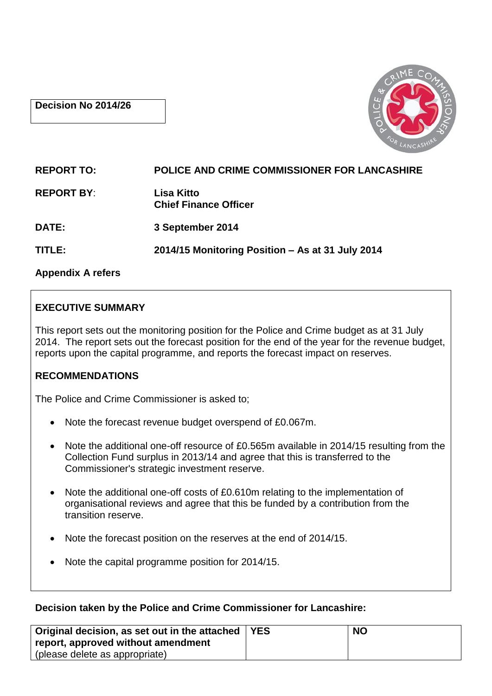### **Decision No 2014/26**



| <b>REPORT TO:</b> | <b>POLICE AND CRIME COMMISSIONER FOR LANCASHIRE</b> |
|-------------------|-----------------------------------------------------|
| <b>REPORT BY:</b> | Lisa Kitto<br><b>Chief Finance Officer</b>          |
| <b>DATE:</b>      | 3 September 2014                                    |
| TITLE:            | 2014/15 Monitoring Position - As at 31 July 2014    |
|                   |                                                     |

**Appendix A refers**

# **EXECUTIVE SUMMARY**

This report sets out the monitoring position for the Police and Crime budget as at 31 July 2014. The report sets out the forecast position for the end of the year for the revenue budget, reports upon the capital programme, and reports the forecast impact on reserves.

# **RECOMMENDATIONS**

The Police and Crime Commissioner is asked to;

- Note the forecast revenue budget overspend of £0.067m.
- Note the additional one-off resource of £0.565m available in 2014/15 resulting from the Collection Fund surplus in 2013/14 and agree that this is transferred to the Commissioner's strategic investment reserve.
- Note the additional one-off costs of £0.610m relating to the implementation of organisational reviews and agree that this be funded by a contribution from the transition reserve.
- Note the forecast position on the reserves at the end of 2014/15.
- Note the capital programme position for 2014/15.

# **Decision taken by the Police and Crime Commissioner for Lancashire:**

| Original decision, as set out in the attached   YES | <b>NO</b> |
|-----------------------------------------------------|-----------|
| report, approved without amendment                  |           |
| (please delete as appropriate)                      |           |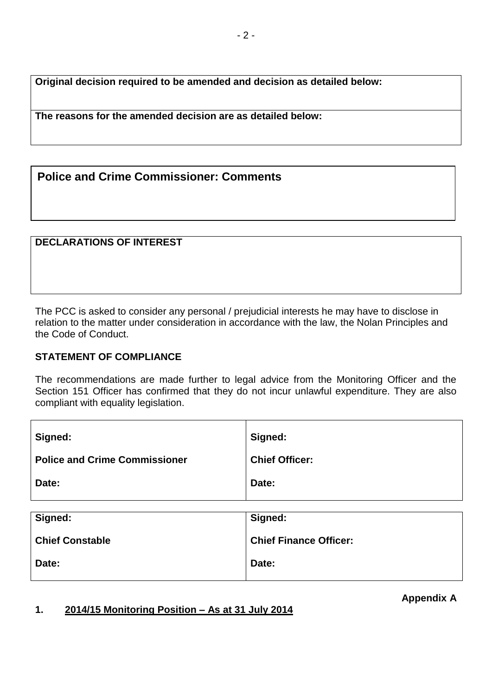**Original decision required to be amended and decision as detailed below:**

**The reasons for the amended decision are as detailed below:**

**Police and Crime Commissioner: Comments**

#### **DECLARATIONS OF INTEREST**

The PCC is asked to consider any personal / prejudicial interests he may have to disclose in relation to the matter under consideration in accordance with the law, the Nolan Principles and the Code of Conduct.

#### **STATEMENT OF COMPLIANCE**

The recommendations are made further to legal advice from the Monitoring Officer and the Section 151 Officer has confirmed that they do not incur unlawful expenditure. They are also compliant with equality legislation.

| Signed:                              | Signed:               |
|--------------------------------------|-----------------------|
| <b>Police and Crime Commissioner</b> | <b>Chief Officer:</b> |
| Date:                                | Date:                 |
|                                      |                       |
| Signed:                              | Signed:               |

| Signed:                | Signed:                       |
|------------------------|-------------------------------|
| <b>Chief Constable</b> | <b>Chief Finance Officer:</b> |
| Date:                  | Date:                         |

**1. 2014/15 Monitoring Position – As at 31 July 2014**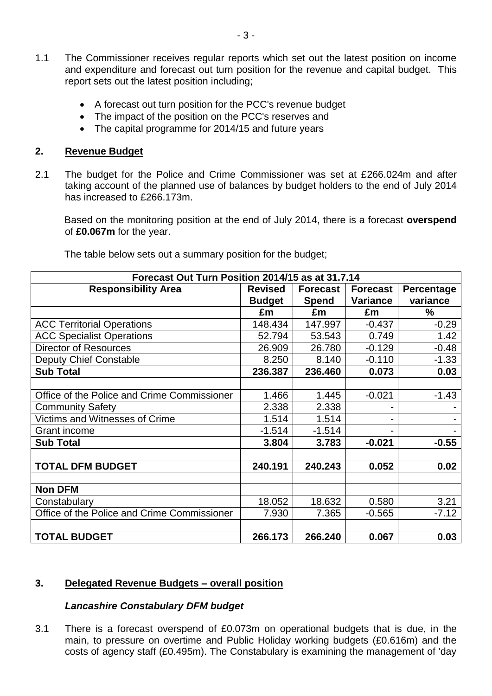- 1.1 The Commissioner receives regular reports which set out the latest position on income and expenditure and forecast out turn position for the revenue and capital budget. This report sets out the latest position including;
	- A forecast out turn position for the PCC's revenue budget
	- The impact of the position on the PCC's reserves and
	- The capital programme for 2014/15 and future years

#### **2. Revenue Budget**

2.1 The budget for the Police and Crime Commissioner was set at £266.024m and after taking account of the planned use of balances by budget holders to the end of July 2014 has increased to £266.173m.

Based on the monitoring position at the end of July 2014, there is a forecast **overspend** of **£0.067m** for the year.

| Forecast Out Turn Position 2014/15 as at 31.7.14 |                |                 |                 |            |
|--------------------------------------------------|----------------|-----------------|-----------------|------------|
| <b>Responsibility Area</b>                       | <b>Revised</b> | <b>Forecast</b> | <b>Forecast</b> | Percentage |
|                                                  | <b>Budget</b>  | <b>Spend</b>    | <b>Variance</b> | variance   |
|                                                  | £m             | £m              | £m              | ℅          |
| <b>ACC Territorial Operations</b>                | 148.434        | 147.997         | $-0.437$        | $-0.29$    |
| <b>ACC Specialist Operations</b>                 | 52.794         | 53.543          | 0.749           | 1.42       |
| <b>Director of Resources</b>                     | 26.909         | 26.780          | $-0.129$        | $-0.48$    |
| <b>Deputy Chief Constable</b>                    | 8.250          | 8.140           | $-0.110$        | $-1.33$    |
| <b>Sub Total</b>                                 | 236.387        | 236.460         | 0.073           | 0.03       |
|                                                  |                |                 |                 |            |
| Office of the Police and Crime Commissioner      | 1.466          | 1.445           | $-0.021$        | $-1.43$    |
| <b>Community Safety</b>                          | 2.338          | 2.338           |                 |            |
| Victims and Witnesses of Crime                   | 1.514          | 1.514           |                 |            |
| <b>Grant income</b>                              | $-1.514$       | $-1.514$        |                 |            |
| <b>Sub Total</b>                                 | 3.804          | 3.783           | $-0.021$        | $-0.55$    |
|                                                  |                |                 |                 |            |
| <b>TOTAL DFM BUDGET</b>                          | 240.191        | 240.243         | 0.052           | 0.02       |
|                                                  |                |                 |                 |            |
| <b>Non DFM</b>                                   |                |                 |                 |            |
| Constabulary                                     | 18.052         | 18.632          | 0.580           | 3.21       |
| Office of the Police and Crime Commissioner      | 7.930          | 7.365           | $-0.565$        | $-7.12$    |
|                                                  |                |                 |                 |            |
| <b>TOTAL BUDGET</b>                              | 266.173        | 266.240         | 0.067           | 0.03       |

The table below sets out a summary position for the budget;

#### **3. Delegated Revenue Budgets – overall position**

#### *Lancashire Constabulary DFM budget*

3.1 There is a forecast overspend of £0.073m on operational budgets that is due, in the main, to pressure on overtime and Public Holiday working budgets (£0.616m) and the costs of agency staff (£0.495m). The Constabulary is examining the management of 'day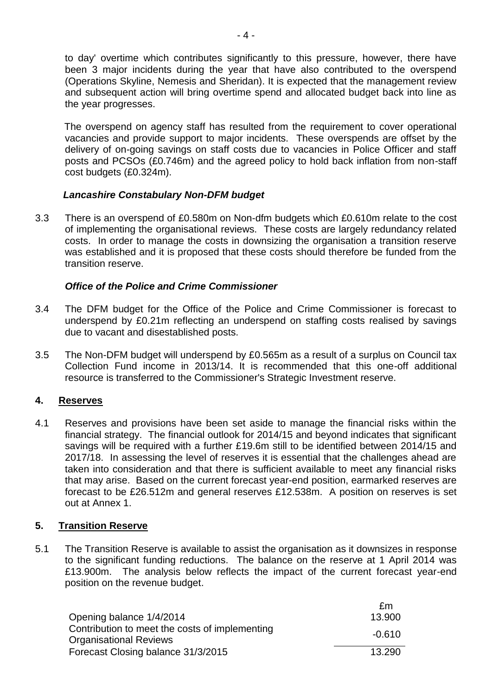to day' overtime which contributes significantly to this pressure, however, there have been 3 major incidents during the year that have also contributed to the overspend (Operations Skyline, Nemesis and Sheridan). It is expected that the management review and subsequent action will bring overtime spend and allocated budget back into line as the year progresses.

The overspend on agency staff has resulted from the requirement to cover operational vacancies and provide support to major incidents. These overspends are offset by the delivery of on-going savings on staff costs due to vacancies in Police Officer and staff posts and PCSOs (£0.746m) and the agreed policy to hold back inflation from non-staff cost budgets (£0.324m).

### *Lancashire Constabulary Non-DFM budget*

3.3 There is an overspend of £0.580m on Non-dfm budgets which £0.610m relate to the cost of implementing the organisational reviews. These costs are largely redundancy related costs. In order to manage the costs in downsizing the organisation a transition reserve was established and it is proposed that these costs should therefore be funded from the transition reserve.

### *Office of the Police and Crime Commissioner*

- 3.4 The DFM budget for the Office of the Police and Crime Commissioner is forecast to underspend by £0.21m reflecting an underspend on staffing costs realised by savings due to vacant and disestablished posts.
- 3.5 The Non-DFM budget will underspend by £0.565m as a result of a surplus on Council tax Collection Fund income in 2013/14. It is recommended that this one-off additional resource is transferred to the Commissioner's Strategic Investment reserve.

# **4. Reserves**

4.1 Reserves and provisions have been set aside to manage the financial risks within the financial strategy. The financial outlook for 2014/15 and beyond indicates that significant savings will be required with a further £19.6m still to be identified between 2014/15 and 2017/18. In assessing the level of reserves it is essential that the challenges ahead are taken into consideration and that there is sufficient available to meet any financial risks that may arise. Based on the current forecast year-end position, earmarked reserves are forecast to be £26.512m and general reserves £12.538m. A position on reserves is set out at Annex 1.

#### **5. Transition Reserve**

5.1 The Transition Reserve is available to assist the organisation as it downsizes in response to the significant funding reductions. The balance on the reserve at 1 April 2014 was £13.900m. The analysis below reflects the impact of the current forecast year-end position on the revenue budget.

|                                                                                 | fm       |
|---------------------------------------------------------------------------------|----------|
| Opening balance 1/4/2014                                                        | 13.900   |
| Contribution to meet the costs of implementing<br><b>Organisational Reviews</b> | $-0.610$ |
| Forecast Closing balance 31/3/2015                                              | 13.290   |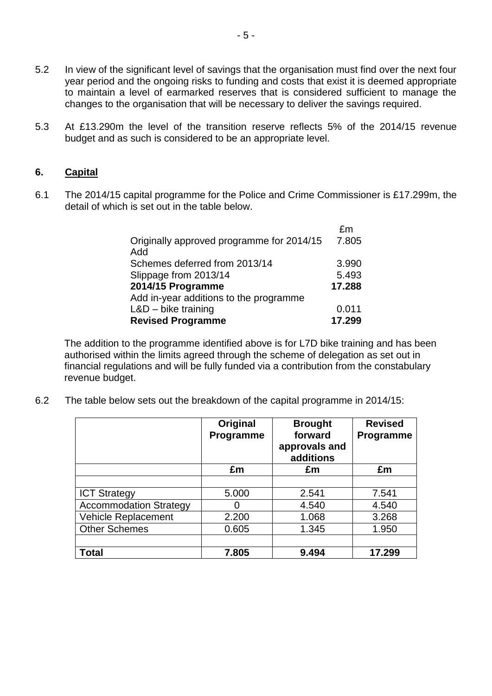- 5.2 In view of the significant level of savings that the organisation must find over the next four year period and the ongoing risks to funding and costs that exist it is deemed appropriate to maintain a level of earmarked reserves that is considered sufficient to manage the changes to the organisation that will be necessary to deliver the savings required.
- 5.3 At £13.290m the level of the transition reserve reflects 5% of the 2014/15 revenue budget and as such is considered to be an appropriate level.

#### **6. Capital**

6.1 The 2014/15 capital programme for the Police and Crime Commissioner is £17.299m, the detail of which is set out in the table below.

|                                           | fm     |
|-------------------------------------------|--------|
| Originally approved programme for 2014/15 | 7.805  |
| Add                                       |        |
| Schemes deferred from 2013/14             | 3.990  |
| Slippage from 2013/14                     | 5.493  |
| 2014/15 Programme                         | 17.288 |
| Add in-year additions to the programme    |        |
| $L&D$ – bike training                     | 0.011  |
| <b>Revised Programme</b>                  | 17.299 |

The addition to the programme identified above is for L7D bike training and has been authorised within the limits agreed through the scheme of delegation as set out in financial regulations and will be fully funded via a contribution from the constabulary revenue budget.

6.2 The table below sets out the breakdown of the capital programme in 2014/15:

|                               | Original<br>Programme | <b>Brought</b><br>forward<br>approvals and<br>additions | <b>Revised</b><br>Programme |
|-------------------------------|-----------------------|---------------------------------------------------------|-----------------------------|
|                               | £m                    | £m                                                      | £m                          |
|                               |                       |                                                         |                             |
| <b>ICT Strategy</b>           | 5.000                 | 2.541                                                   | 7.541                       |
| <b>Accommodation Strategy</b> |                       | 4.540                                                   | 4.540                       |
| <b>Vehicle Replacement</b>    | 2.200                 | 1.068                                                   | 3.268                       |
| <b>Other Schemes</b>          | 0.605                 | 1.345                                                   | 1.950                       |
|                               |                       |                                                         |                             |
| <b>Total</b>                  | 7.805                 | 9.494                                                   | 17.299                      |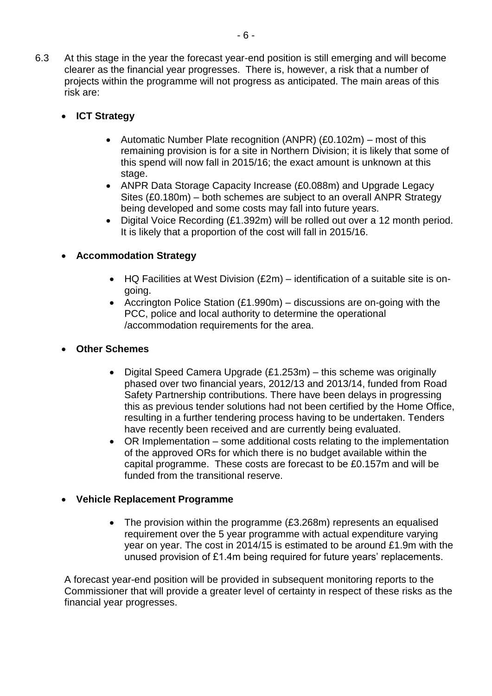- 6.3 At this stage in the year the forecast year-end position is still emerging and will become clearer as the financial year progresses. There is, however, a risk that a number of projects within the programme will not progress as anticipated. The main areas of this risk are:
	- **ICT Strategy**
		- Automatic Number Plate recognition (ANPR) (£0.102m) most of this remaining provision is for a site in Northern Division; it is likely that some of this spend will now fall in 2015/16; the exact amount is unknown at this stage.
		- ANPR Data Storage Capacity Increase (£0.088m) and Upgrade Legacy Sites (£0.180m) – both schemes are subject to an overall ANPR Strategy being developed and some costs may fall into future years.
		- Digital Voice Recording (£1.392m) will be rolled out over a 12 month period. It is likely that a proportion of the cost will fall in 2015/16.

# **Accommodation Strategy**

- HQ Facilities at West Division (£2m) identification of a suitable site is ongoing.
- Accrington Police Station (£1.990m) discussions are on-going with the PCC, police and local authority to determine the operational /accommodation requirements for the area.
- **Other Schemes** 
	- Digital Speed Camera Upgrade  $(E1.253m)$  this scheme was originally phased over two financial years, 2012/13 and 2013/14, funded from Road Safety Partnership contributions. There have been delays in progressing this as previous tender solutions had not been certified by the Home Office, resulting in a further tendering process having to be undertaken. Tenders have recently been received and are currently being evaluated.
	- OR Implementation some additional costs relating to the implementation of the approved ORs for which there is no budget available within the capital programme. These costs are forecast to be £0.157m and will be funded from the transitional reserve.

# **Vehicle Replacement Programme**

• The provision within the programme (£3.268m) represents an equalised requirement over the 5 year programme with actual expenditure varying year on year. The cost in 2014/15 is estimated to be around £1.9m with the unused provision of £1.4m being required for future years' replacements.

A forecast year-end position will be provided in subsequent monitoring reports to the Commissioner that will provide a greater level of certainty in respect of these risks as the financial year progresses.